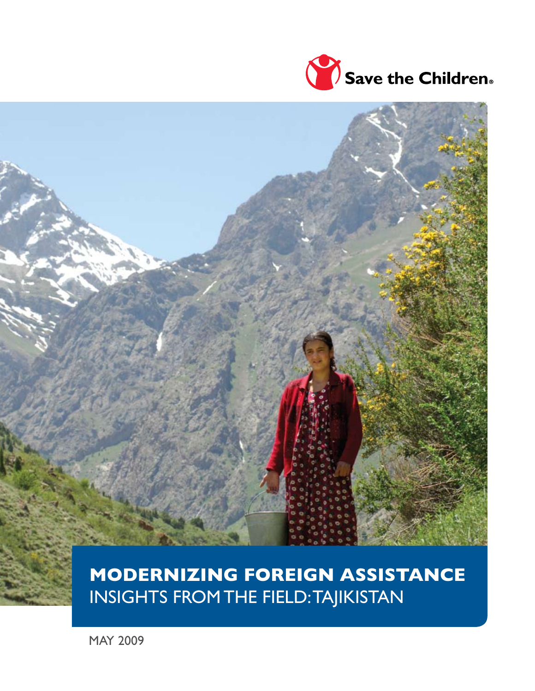



# **MODERNIZING FOREIGN ASSISTANCE** INSIGHTS FROM THE FIELD: TAJIKISTAN

MAY 2009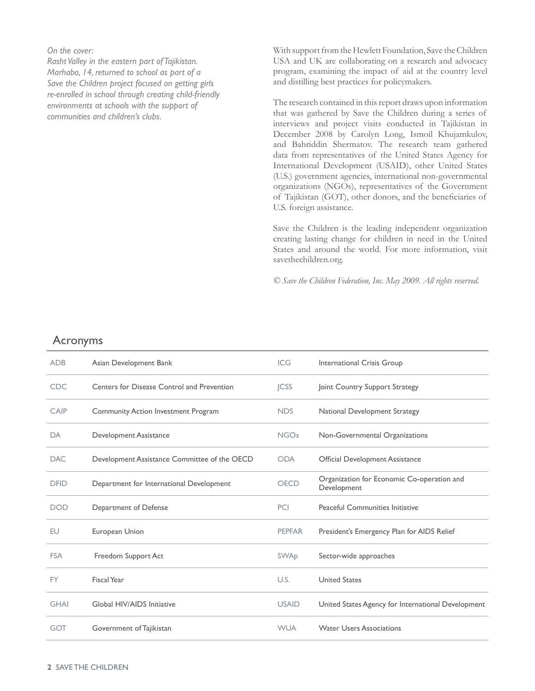*On the cover:*

*Rasht Valley in the eastern part of Tajikistan. Marhabo, 14, returned to school as part of a Save the Children project focused on getting girls re-enrolled in school through creating child-friendly environments at schools with the support of communities and children's clubs.* 

With support from the Hewlett Foundation, Save the Children USA and UK are collaborating on a research and advocacy program, examining the impact of aid at the country level and distilling best practices for policymakers.

The research contained in this report draws upon information that was gathered by Save the Children during a series of interviews and project visits conducted in Tajikistan in December 2008 by Carolyn Long, Ismoil Khujamkulov, and Bahriddin Shermatov. The research team gathered data from representatives of the United States Agency for International Development (USAID), other United States (U.S.) government agencies, international non-governmental organizations (NGOs), representatives of the Government of Tajikistan (GOT), other donors, and the beneficiaries of U.S. foreign assistance.

Save the Children is the leading independent organization creating lasting change for children in need in the United States and around the world. For more information, visit savethechildren.org.

*© Save the Children Federation, Inc. May 2009. All rights reserved.*

### Acronyms

| <b>ADB</b>  | Asian Development Bank                       | <b>ICG</b>             | International Crisis Group                                |
|-------------|----------------------------------------------|------------------------|-----------------------------------------------------------|
| <b>CDC</b>  | Centers for Disease Control and Prevention   | <b>ICSS</b>            | Joint Country Support Strategy                            |
| CAIP        | Community Action Investment Program          | <b>NDS</b>             | National Development Strategy                             |
| DA          | Development Assistance                       | <b>NGOs</b>            | Non-Governmental Organizations                            |
| <b>DAC</b>  | Development Assistance Committee of the OECD | <b>ODA</b>             | Official Development Assistance                           |
| <b>DFID</b> | Department for International Development     | <b>OECD</b>            | Organization for Economic Co-operation and<br>Development |
|             |                                              |                        |                                                           |
| <b>DOD</b>  | Department of Defense                        | PCI                    | Peaceful Communities Initiative                           |
| EU          | European Union                               | <b>PEPFAR</b>          | President's Emergency Plan for AIDS Relief                |
| <b>FSA</b>  | Freedom Support Act                          | <b>SWA<sub>D</sub></b> | Sector-wide approaches                                    |
| <b>FY</b>   | Fiscal Year                                  | U.S.                   | <b>United States</b>                                      |
| <b>GHAI</b> | Global HIV/AIDS Initiative                   | <b>USAID</b>           | United States Agency for International Development        |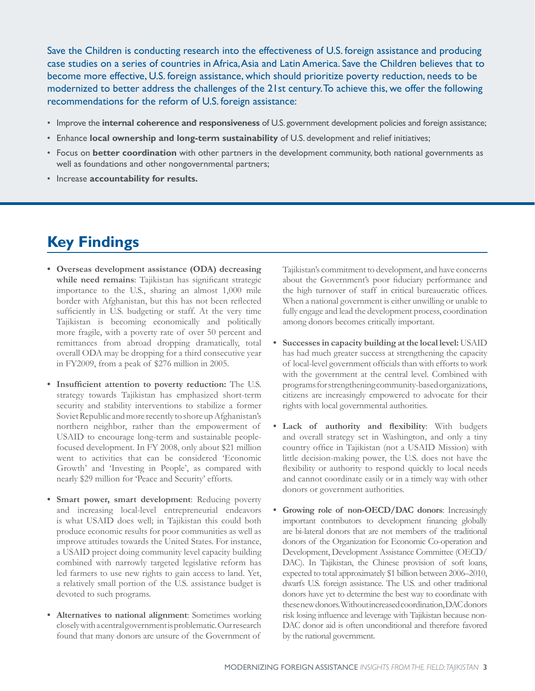Save the Children is conducting research into the effectiveness of U.S. foreign assistance and producing case studies on a series of countries in Africa, Asia and Latin America. Save the Children believes that to become more effective, U.S. foreign assistance, which should prioritize poverty reduction, needs to be modernized to better address the challenges of the 21st century. To achieve this, we offer the following recommendations for the reform of U.S. foreign assistance:

- Improve the **internal coherence and responsiveness** of U.S. government development policies and foreign assistance;
- Enhance **local ownership and long-term sustainability** of U.S. development and relief initiatives;
- Focus on **better coordination** with other partners in the development community, both national governments as well as foundations and other nongovernmental partners;
- Increase **accountability for results.**

# **Key Findings**

- **• Overseas development assistance (ODA) decreasing while need remains**: Tajikistan has significant strategic importance to the U.S., sharing an almost 1,000 mile border with Afghanistan, but this has not been reflected sufficiently in U.S. budgeting or staff. At the very time Tajikistan is becoming economically and politically more fragile, with a poverty rate of over 50 percent and remittances from abroad dropping dramatically, total overall ODA may be dropping for a third consecutive year in FY2009, from a peak of \$276 million in 2005.
- **Insufficient attention to poverty reduction:** The U.S. strategy towards Tajikistan has emphasized short-term security and stability interventions to stabilize a former Soviet Republic and more recently to shore up Afghanistan's northern neighbor, rather than the empowerment of USAID to encourage long-term and sustainable peoplefocused development. In FY 2008, only about \$21 million went to activities that can be considered 'Economic Growth' and 'Investing in People', as compared with nearly \$29 million for 'Peace and Security' efforts.
- **• Smart power, smart development**: Reducing poverty and increasing local-level entrepreneurial endeavors is what USAID does well; in Tajikistan this could both produce economic results for poor communities as well as improve attitudes towards the United States. For instance, a USAID project doing community level capacity building combined with narrowly targeted legislative reform has led farmers to use new rights to gain access to land. Yet, a relatively small portion of the U.S. assistance budget is devoted to such programs.
- **• Alternatives to national alignment**: Sometimes working closely with a central government is problematic. Our research found that many donors are unsure of the Government of

Tajikistan's commitment to development, and have concerns about the Government's poor fiduciary performance and the high turnover of staff in critical bureaucratic offices. When a national government is either unwilling or unable to fully engage and lead the development process, coordination among donors becomes critically important.

- **• Successes in capacity building at the local level:** USAID has had much greater success at strengthening the capacity of local-level government officials than with efforts to work with the government at the central level. Combined with programs for strengthening community-based organizations, citizens are increasingly empowered to advocate for their rights with local governmental authorities.
- **• Lack of authority and flexibility**: With budgets and overall strategy set in Washington, and only a tiny country office in Tajikistan (not a USAID Mission) with little decision-making power, the U.S. does not have the flexibility or authority to respond quickly to local needs and cannot coordinate easily or in a timely way with other donors or government authorities.
- **Growing role of non-OECD/DAC donors:** Increasingly important contributors to development financing globally are bi-lateral donors that are not members of the traditional donors of the Organization for Economic Co-operation and Development, Development Assistance Committee (OECD/ DAC). In Tajikistan, the Chinese provision of soft loans, expected to total approximately \$1 billion between 2006–2010, dwarfs U.S. foreign assistance. The U.S. and other traditional donors have yet to determine the best way to coordinate with these new donors. Without increased coordination, DAC donors risk losing influence and leverage with Tajikistan because non-DAC donor aid is often unconditional and therefore favored by the national government.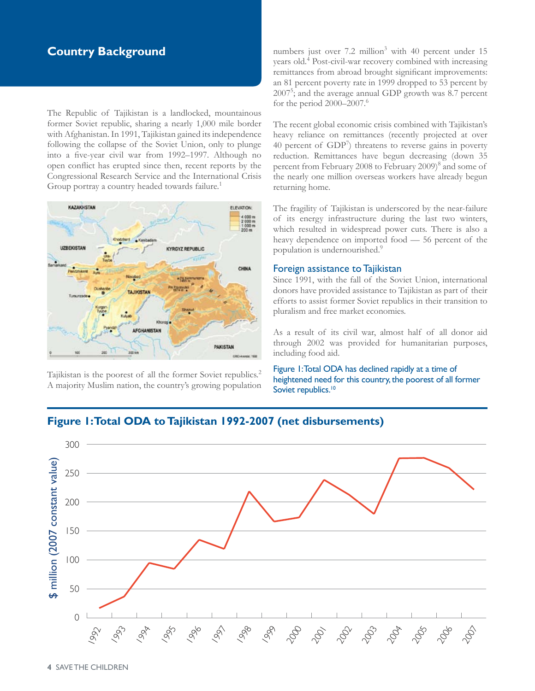## **Country Background**

The Republic of Tajikistan is a landlocked, mountainous former Soviet republic, sharing a nearly 1,000 mile border with Afghanistan. In 1991, Tajikistan gained its independence following the collapse of the Soviet Union, only to plunge into a five-year civil war from 1992–1997. Although no open conflict has erupted since then, recent reports by the Congressional Research Service and the International Crisis Group portray a country headed towards failure.<sup>1</sup>



Tajikistan is the poorest of all the former Soviet republics.2 A majority Muslim nation, the country's growing population

numbers just over  $7.2$  million<sup>3</sup> with 40 percent under  $15$ years old.<sup>4</sup> Post-civil-war recovery combined with increasing remittances from abroad brought significant improvements: an 81 percent poverty rate in 1999 dropped to 53 percent by 20075 ; and the average annual GDP growth was 8.7 percent for the period  $2000-2007$ .<sup>6</sup>

The recent global economic crisis combined with Tajikistan's heavy reliance on remittances (recently projected at over 40 percent of  $GDP<sup>7</sup>$ ) threatens to reverse gains in poverty reduction. Remittances have begun decreasing (down 35 percent from February 2008 to February 2009)<sup>8</sup> and some of the nearly one million overseas workers have already begun returning home.

The fragility of Tajikistan is underscored by the near-failure of its energy infrastructure during the last two winters, which resulted in widespread power cuts. There is also a heavy dependence on imported food — 56 percent of the population is undernourished.<sup>9</sup>

#### Foreign assistance to Tajikistan

Since 1991, with the fall of the Soviet Union, international donors have provided assistance to Tajikistan as part of their efforts to assist former Soviet republics in their transition to pluralism and free market economies.

As a result of its civil war, almost half of all donor aid through 2002 was provided for humanitarian purposes, including food aid.

Figure 1: Total ODA has declined rapidly at a time of heightened need for this country, the poorest of all former Soviet republics.<sup>10</sup>

# **Figure 1: Total ODA to Tajikistan 1992-2007 (net disbursements)**

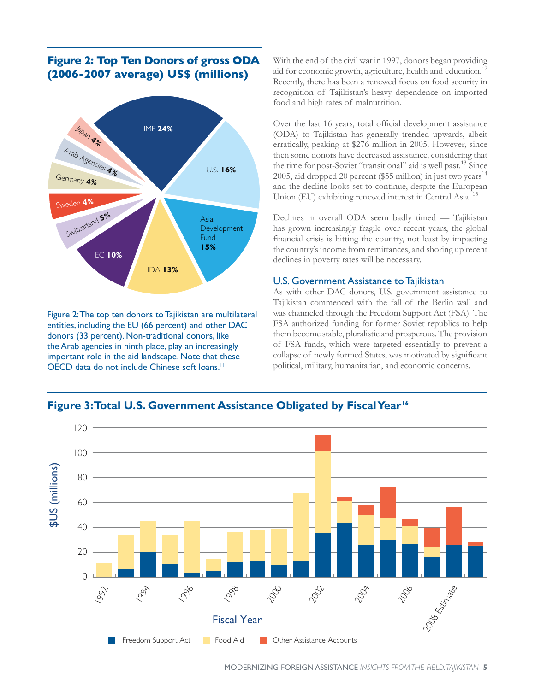## **Figure 2: Top Ten Donors of gross ODA (2006-2007 average) US\$ (millions)**



Figure 2: The top ten donors to Tajikistan are multilateral entities, including the EU (66 percent) and other DAC donors (33 percent). Non-traditional donors, like the Arab agencies in ninth place, play an increasingly important role in the aid landscape. Note that these OECD data do not include Chinese soft loans.<sup>11</sup>

With the end of the civil war in 1997, donors began providing aid for economic growth, agriculture, health and education.<sup>12</sup> Recently, there has been a renewed focus on food security in recognition of Tajikistan's heavy dependence on imported food and high rates of malnutrition.

Over the last 16 years, total official development assistance (ODA) to Tajikistan has generally trended upwards, albeit erratically, peaking at \$276 million in 2005. However, since then some donors have decreased assistance, considering that the time for post-Soviet "transitional" aid is well past.<sup>13</sup> Since 2005, aid dropped 20 percent (\$55 million) in just two years<sup>14</sup> and the decline looks set to continue, despite the European Union (EU) exhibiting renewed interest in Central Asia. 15

Declines in overall ODA seem badly timed — Tajikistan has grown increasingly fragile over recent years, the global financial crisis is hitting the country, not least by impacting the country's income from remittances, and shoring up recent declines in poverty rates will be necessary.

#### U.S. Government Assistance to Tajikistan

As with other DAC donors, U.S. government assistance to Tajikistan commenced with the fall of the Berlin wall and was channeled through the Freedom Support Act (FSA). The FSA authorized funding for former Soviet republics to help them become stable, pluralistic and prosperous. The provision of FSA funds, which were targeted essentially to prevent a collapse of newly formed States, was motivated by significant political, military, humanitarian, and economic concerns.

## Figure 3: Total U.S. Government Assistance Obligated by Fiscal Year<sup>16</sup>

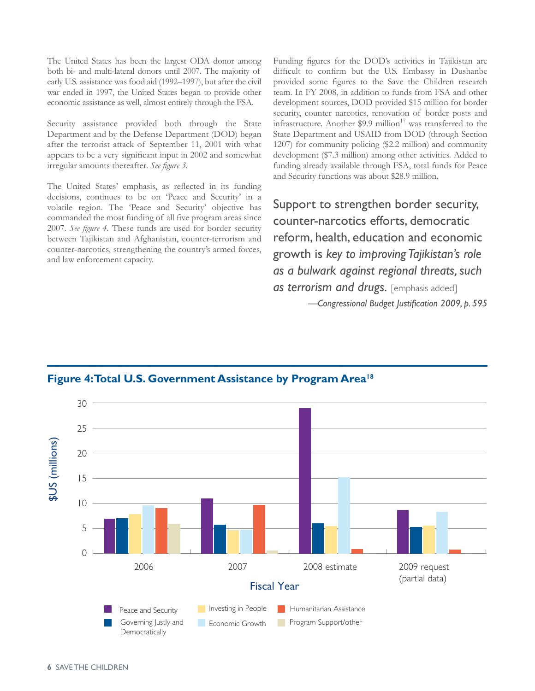The United States has been the largest ODA donor among both bi- and multi-lateral donors until 2007. The majority of early U.S. assistance was food aid (1992–1997), but after the civil war ended in 1997, the United States began to provide other economic assistance as well, almost entirely through the FSA.

Security assistance provided both through the State Department and by the Defense Department (DOD) began after the terrorist attack of September 11, 2001 with what appears to be a very significant input in 2002 and somewhat irregular amounts thereafter. *See figure 3.* 

The United States' emphasis, as reflected in its funding decisions, continues to be on 'Peace and Security' in a volatile region. The 'Peace and Security' objective has commanded the most funding of all five program areas since 2007. *See figure 4.* These funds are used for border security between Tajikistan and Afghanistan, counter-terrorism and counter-narcotics, strengthening the country's armed forces, and law enforcement capacity.

Funding figures for the DOD's activities in Tajikistan are difficult to confirm but the U.S. Embassy in Dushanbe provided some figures to the Save the Children research team. In FY 2008, in addition to funds from FSA and other development sources, DOD provided \$15 million for border security, counter narcotics, renovation of border posts and infrastructure. Another \$9.9 million $17$  was transferred to the State Department and USAID from DOD (through Section 1207) for community policing (\$2.2 million) and community development (\$7.3 million) among other activities. Added to funding already available through FSA, total funds for Peace and Security functions was about \$28.9 million.

Support to strengthen border security, counter-narcotics efforts, democratic reform, health, education and economic growth is *key to improving Tajikistan's role as a bulwark against regional threats, such*  as terrorism and drugs. [emphasis added] *—Congressional Budget Justification 2009, p. 595*

## Figure 4: Total U.S. Government Assistance by Program Area<sup>18</sup>

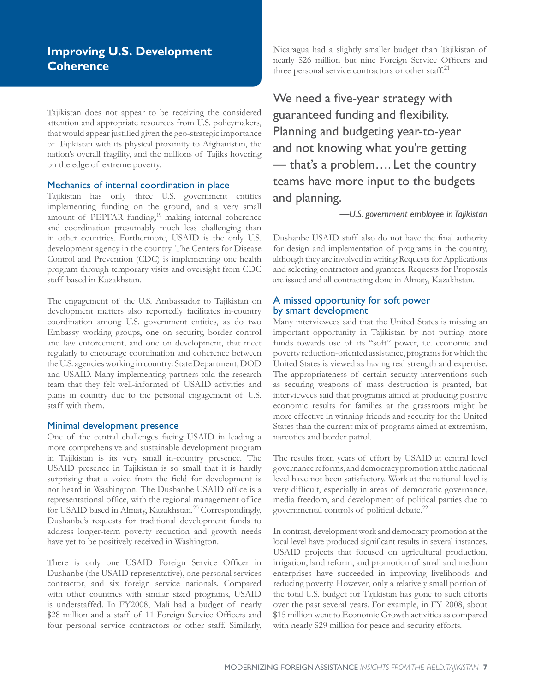Tajikistan does not appear to be receiving the considered attention and appropriate resources from U.S. policymakers, that would appear justified given the geo-strategic importance of Tajikistan with its physical proximity to Afghanistan, the nation's overall fragility, and the millions of Tajiks hovering on the edge of extreme poverty.

#### Mechanics of internal coordination in place

Tajikistan has only three U.S. government entities implementing funding on the ground, and a very small amount of PEPFAR funding,<sup>19</sup> making internal coherence and coordination presumably much less challenging than in other countries. Furthermore, USAID is the only U.S. development agency in the country. The Centers for Disease Control and Prevention (CDC) is implementing one health program through temporary visits and oversight from CDC staff based in Kazakhstan.

The engagement of the U.S. Ambassador to Tajikistan on development matters also reportedly facilitates in-country coordination among U.S. government entities, as do two Embassy working groups, one on security, border control and law enforcement, and one on development, that meet regularly to encourage coordination and coherence between the U.S. agencies working in country: State Department, DOD and USAID. Many implementing partners told the research team that they felt well-informed of USAID activities and plans in country due to the personal engagement of U.S. staff with them.

#### Minimal development presence

One of the central challenges facing USAID in leading a more comprehensive and sustainable development program in Tajikistan is its very small in-country presence. The USAID presence in Tajikistan is so small that it is hardly surprising that a voice from the field for development is not heard in Washington. The Dushanbe USAID office is a representational office, with the regional management office for USAID based in Almaty, Kazakhstan.<sup>20</sup> Correspondingly, Dushanbe's requests for traditional development funds to address longer-term poverty reduction and growth needs have yet to be positively received in Washington.

There is only one USAID Foreign Service Officer in Dushanbe (the USAID representative), one personal services contractor, and six foreign service nationals. Compared with other countries with similar sized programs, USAID is understaffed. In FY2008, Mali had a budget of nearly \$28 million and a staff of 11 Foreign Service Officers and four personal service contractors or other staff. Similarly, Nicaragua had a slightly smaller budget than Tajikistan of nearly \$26 million but nine Foreign Service Officers and three personal service contractors or other staff.<sup>21</sup>

We need a five-year strategy with guaranteed funding and flexibility. Planning and budgeting year-to-year and not knowing what you're getting — that's a problem…. Let the country teams have more input to the budgets and planning.

*—U.S. government employee in Tajikistan*

Dushanbe USAID staff also do not have the final authority for design and implementation of programs in the country, although they are involved in writing Requests for Applications and selecting contractors and grantees. Requests for Proposals are issued and all contracting done in Almaty, Kazakhstan.

#### A missed opportunity for soft power by smart development

Many interviewees said that the United States is missing an important opportunity in Tajikistan by not putting more funds towards use of its "soft" power, i.e. economic and poverty reduction-oriented assistance, programs for which the United States is viewed as having real strength and expertise. The appropriateness of certain security interventions such as securing weapons of mass destruction is granted, but interviewees said that programs aimed at producing positive economic results for families at the grassroots might be more effective in winning friends and security for the United States than the current mix of programs aimed at extremism, narcotics and border patrol.

The results from years of effort by USAID at central level governance reforms, and democracy promotion at the national level have not been satisfactory. Work at the national level is very difficult, especially in areas of democratic governance, media freedom, and development of political parties due to governmental controls of political debate.<sup>22</sup>

In contrast, development work and democracy promotion at the local level have produced significant results in several instances. USAID projects that focused on agricultural production, irrigation, land reform, and promotion of small and medium enterprises have succeeded in improving livelihoods and reducing poverty. However, only a relatively small portion of the total U.S. budget for Tajikistan has gone to such efforts over the past several years. For example, in FY 2008, about \$15 million went to Economic Growth activities as compared with nearly \$29 million for peace and security efforts.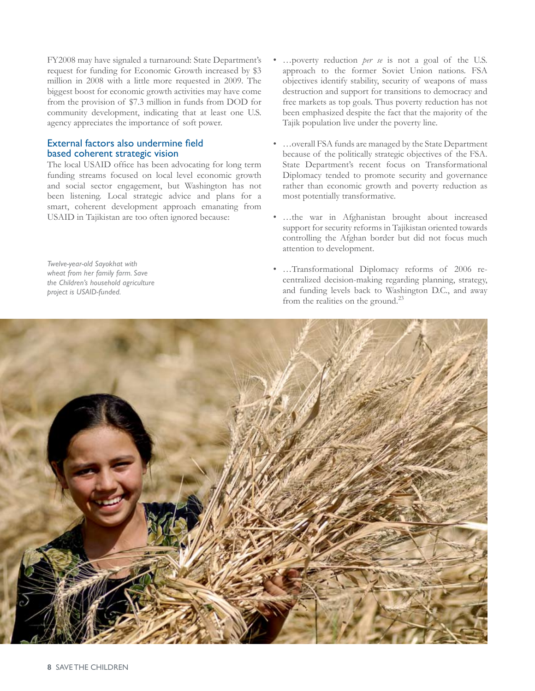FY2008 may have signaled a turnaround: State Department's request for funding for Economic Growth increased by \$3 million in 2008 with a little more requested in 2009. The biggest boost for economic growth activities may have come from the provision of \$7.3 million in funds from DOD for community development, indicating that at least one U.S. agency appreciates the importance of soft power.

#### External factors also undermine field based coherent strategic vision

The local USAID office has been advocating for long term funding streams focused on local level economic growth and social sector engagement, but Washington has not been listening. Local strategic advice and plans for a smart, coherent development approach emanating from USAID in Tajikistan are too often ignored because:

*Twelve-year-old Sayokhat with wheat from her family farm. Save the Children's household agriculture project is USAID-funded.*

- …poverty reduction *per se* is not a goal of the U.S. approach to the former Soviet Union nations. FSA objectives identify stability, security of weapons of mass destruction and support for transitions to democracy and free markets as top goals. Thus poverty reduction has not been emphasized despite the fact that the majority of the Tajik population live under the poverty line.
- …overall FSA funds are managed by the State Department because of the politically strategic objectives of the FSA. State Department's recent focus on Transformational Diplomacy tended to promote security and governance rather than economic growth and poverty reduction as most potentially transformative.
- …the war in Afghanistan brought about increased support for security reforms in Tajikistan oriented towards controlling the Afghan border but did not focus much attention to development.
- …Transformational Diplomacy reforms of 2006 recentralized decision-making regarding planning, strategy, and funding levels back to Washington D.C., and away from the realities on the ground.<sup>23</sup>

![](_page_7_Picture_8.jpeg)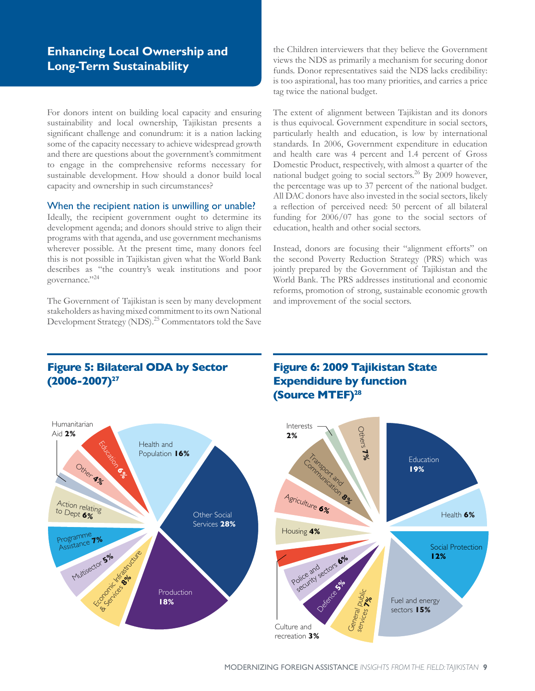## **Enhancing Local Ownership and Long-Term Sustainability**

For donors intent on building local capacity and ensuring sustainability and local ownership, Tajikistan presents a significant challenge and conundrum: it is a nation lacking some of the capacity necessary to achieve widespread growth and there are questions about the government's commitment to engage in the comprehensive reforms necessary for sustainable development. How should a donor build local capacity and ownership in such circumstances?

#### When the recipient nation is unwilling or unable?

Ideally, the recipient government ought to determine its development agenda; and donors should strive to align their programs with that agenda, and use government mechanisms wherever possible. At the present time, many donors feel this is not possible in Tajikistan given what the World Bank describes as "the country's weak institutions and poor governance."24

The Government of Tajikistan is seen by many development stakeholders as having mixed commitment to its own National Development Strategy (NDS).25 Commentators told the Save

**Figure 5: Bilateral ODA by Sector** 

**(2006-2007)27**

the Children interviewers that they believe the Government views the NDS as primarily a mechanism for securing donor funds. Donor representatives said the NDS lacks credibility: is too aspirational, has too many priorities, and carries a price tag twice the national budget.

The extent of alignment between Tajikistan and its donors is thus equivocal. Government expenditure in social sectors, particularly health and education, is low by international standards. In 2006, Government expenditure in education and health care was 4 percent and 1.4 percent of Gross Domestic Product, respectively, with almost a quarter of the national budget going to social sectors.26 By 2009 however, the percentage was up to 37 percent of the national budget. All DAC donors have also invested in the social sectors, likely a reflection of perceived need: 50 percent of all bilateral funding for 2006/07 has gone to the social sectors of education, health and other social sectors.

Instead, donors are focusing their "alignment efforts" on the second Poverty Reduction Strategy (PRS) which was jointly prepared by the Government of Tajikistan and the World Bank. The PRS addresses institutional and economic reforms, promotion of strong, sustainable economic growth and improvement of the social sectors.

![](_page_8_Figure_8.jpeg)

### **Figure 6: 2009 Tajikistan State Expendidure by function (Source MTEF)28**

![](_page_8_Figure_10.jpeg)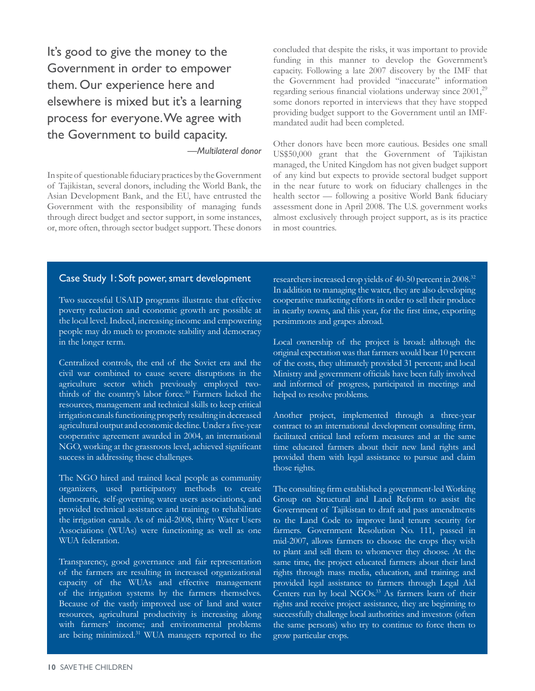It's good to give the money to the Government in order to empower them. Our experience here and elsewhere is mixed but it's a learning process for everyone. We agree with the Government to build capacity.

*—Multilateral donor*

In spite of questionable fiduciary practices by the Government of Tajikistan, several donors, including the World Bank, the Asian Development Bank, and the EU, have entrusted the Government with the responsibility of managing funds through direct budget and sector support, in some instances, or, more often, through sector budget support. These donors concluded that despite the risks, it was important to provide funding in this manner to develop the Government's capacity. Following a late 2007 discovery by the IMF that the Government had provided "inaccurate" information regarding serious financial violations underway since  $2001$ , $^{29}$ some donors reported in interviews that they have stopped providing budget support to the Government until an IMFmandated audit had been completed.

Other donors have been more cautious. Besides one small US\$50,000 grant that the Government of Tajikistan managed, the United Kingdom has not given budget support of any kind but expects to provide sectoral budget support in the near future to work on fiduciary challenges in the health sector — following a positive World Bank fiduciary assessment done in April 2008. The U.S. government works almost exclusively through project support, as is its practice in most countries.

#### Case Study 1: Soft power, smart development

Two successful USAID programs illustrate that effective poverty reduction and economic growth are possible at the local level. Indeed, increasing income and empowering people may do much to promote stability and democracy in the longer term.

Centralized controls, the end of the Soviet era and the civil war combined to cause severe disruptions in the agriculture sector which previously employed twothirds of the country's labor force.<sup>30</sup> Farmers lacked the resources, management and technical skills to keep critical irrigation canals functioning properly resulting in decreased agricultural output and economic decline. Under a five-year cooperative agreement awarded in 2004, an international NGO, working at the grassroots level, achieved significant success in addressing these challenges.

The NGO hired and trained local people as community organizers, used participatory methods to create democratic, self-governing water users associations, and provided technical assistance and training to rehabilitate the irrigation canals. As of mid-2008, thirty Water Users Associations (WUAs) were functioning as well as one WUA federation.

Transparency, good governance and fair representation of the farmers are resulting in increased organizational capacity of the WUAs and effective management of the irrigation systems by the farmers themselves. Because of the vastly improved use of land and water resources, agricultural productivity is increasing along with farmers' income; and environmental problems are being minimized.<sup>31</sup> WUA managers reported to the

researchers increased crop yields of 40-50 percent in 2008.32 In addition to managing the water, they are also developing cooperative marketing efforts in order to sell their produce in nearby towns, and this year, for the first time, exporting persimmons and grapes abroad.

Local ownership of the project is broad: although the original expectation was that farmers would bear 10 percent of the costs, they ultimately provided 31 percent; and local Ministry and government officials have been fully involved and informed of progress, participated in meetings and helped to resolve problems.

Another project, implemented through a three-year contract to an international development consulting firm, facilitated critical land reform measures and at the same time educated farmers about their new land rights and provided them with legal assistance to pursue and claim those rights.

The consulting firm established a government-led Working Group on Structural and Land Reform to assist the Government of Tajikistan to draft and pass amendments to the Land Code to improve land tenure security for farmers. Government Resolution No. 111, passed in mid-2007, allows farmers to choose the crops they wish to plant and sell them to whomever they choose. At the same time, the project educated farmers about their land rights through mass media, education, and training; and provided legal assistance to farmers through Legal Aid Centers run by local NGOs.<sup>33</sup> As farmers learn of their rights and receive project assistance, they are beginning to successfully challenge local authorities and investors (often the same persons) who try to continue to force them to grow particular crops.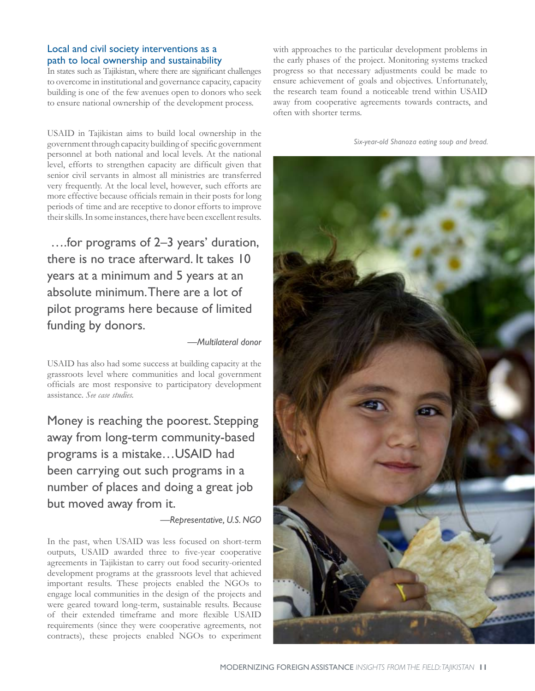#### Local and civil society interventions as a path to local ownership and sustainability

In states such as Tajikistan, where there are significant challenges to overcome in institutional and governance capacity, capacity building is one of the few avenues open to donors who seek to ensure national ownership of the development process.

USAID in Tajikistan aims to build local ownership in the government through capacity building of specific government personnel at both national and local levels. At the national level, efforts to strengthen capacity are difficult given that senior civil servants in almost all ministries are transferred very frequently. At the local level, however, such efforts are more effective because officials remain in their posts for long periods of time and are receptive to donor efforts to improve their skills. In some instances, there have been excellent results.

 ….for programs of 2–3 years' duration, there is no trace afterward. It takes 10 years at a minimum and 5 years at an absolute minimum. There are a lot of pilot programs here because of limited funding by donors.

*—Multilateral donor*

USAID has also had some success at building capacity at the grassroots level where communities and local government officials are most responsive to participatory development assistance. *See case studies.*

Money is reaching the poorest. Stepping away from long-term community-based programs is a mistake…USAID had been carrying out such programs in a number of places and doing a great job but moved away from it.

#### *—Representative, U.S. NGO*

In the past, when USAID was less focused on short-term outputs, USAID awarded three to five-year cooperative agreements in Tajikistan to carry out food security-oriented development programs at the grassroots level that achieved important results. These projects enabled the NGOs to engage local communities in the design of the projects and were geared toward long-term, sustainable results. Because of their extended timeframe and more flexible USAID requirements (since they were cooperative agreements, not contracts), these projects enabled NGOs to experiment with approaches to the particular development problems in the early phases of the project. Monitoring systems tracked progress so that necessary adjustments could be made to ensure achievement of goals and objectives. Unfortunately, the research team found a noticeable trend within USAID away from cooperative agreements towards contracts, and often with shorter terms.

*Six-year-old Shanoza eating soup and bread.* 

![](_page_10_Picture_11.jpeg)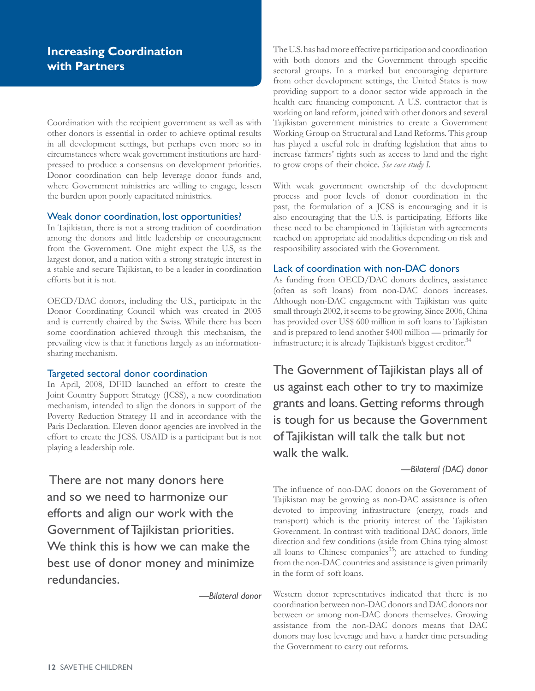## **Increasing Coordination with Partners**

Coordination with the recipient government as well as with other donors is essential in order to achieve optimal results in all development settings, but perhaps even more so in circumstances where weak government institutions are hardpressed to produce a consensus on development priorities. Donor coordination can help leverage donor funds and, where Government ministries are willing to engage, lessen the burden upon poorly capacitated ministries.

#### Weak donor coordination, lost opportunities?

In Tajikistan, there is not a strong tradition of coordination among the donors and little leadership or encouragement from the Government. One might expect the U.S, as the largest donor, and a nation with a strong strategic interest in a stable and secure Tajikistan, to be a leader in coordination efforts but it is not.

OECD/DAC donors, including the U.S., participate in the Donor Coordinating Council which was created in 2005 and is currently chaired by the Swiss. While there has been some coordination achieved through this mechanism, the prevailing view is that it functions largely as an informationsharing mechanism.

#### Targeted sectoral donor coordination

In April, 2008, DFID launched an effort to create the Joint Country Support Strategy (JCSS), a new coordination mechanism, intended to align the donors in support of the Poverty Reduction Strategy II and in accordance with the Paris Declaration. Eleven donor agencies are involved in the effort to create the JCSS. USAID is a participant but is not playing a leadership role.

 There are not many donors here and so we need to harmonize our efforts and align our work with the Government of Tajikistan priorities. We think this is how we can make the best use of donor money and minimize redundancies.

 *—Bilateral donor*

The U.S. has had more effective participation and coordination with both donors and the Government through specific sectoral groups. In a marked but encouraging departure from other development settings, the United States is now providing support to a donor sector wide approach in the health care financing component. A U.S. contractor that is working on land reform, joined with other donors and several Tajikistan government ministries to create a Government Working Group on Structural and Land Reforms. This group has played a useful role in drafting legislation that aims to increase farmers' rights such as access to land and the right to grow crops of their choice. *See case study I.* 

With weak government ownership of the development process and poor levels of donor coordination in the past, the formulation of a JCSS is encouraging and it is also encouraging that the U.S. is participating. Efforts like these need to be championed in Tajikistan with agreements reached on appropriate aid modalities depending on risk and responsibility associated with the Government.

#### Lack of coordination with non-DAC donors

As funding from OECD/DAC donors declines, assistance (often as soft loans) from non-DAC donors increases. Although non-DAC engagement with Tajikistan was quite small through 2002, it seems to be growing. Since 2006, China has provided over US\$ 600 million in soft loans to Tajikistan and is prepared to lend another \$400 million — primarily for infrastructure; it is already Tajikistan's biggest creditor.<sup>34</sup>

The Government of Tajikistan plays all of us against each other to try to maximize grants and loans. Getting reforms through is tough for us because the Government of Tajikistan will talk the talk but not walk the walk.

#### *—Bilateral (DAC) donor*

The influence of non-DAC donors on the Government of Tajikistan may be growing as non-DAC assistance is often devoted to improving infrastructure (energy, roads and transport) which is the priority interest of the Tajikistan Government. In contrast with traditional DAC donors, little direction and few conditions (aside from China tying almost all loans to Chinese companies $^{35}$ ) are attached to funding from the non-DAC countries and assistance is given primarily in the form of soft loans.

Western donor representatives indicated that there is no coordination between non-DAC donors and DAC donors nor between or among non-DAC donors themselves. Growing assistance from the non-DAC donors means that DAC donors may lose leverage and have a harder time persuading the Government to carry out reforms.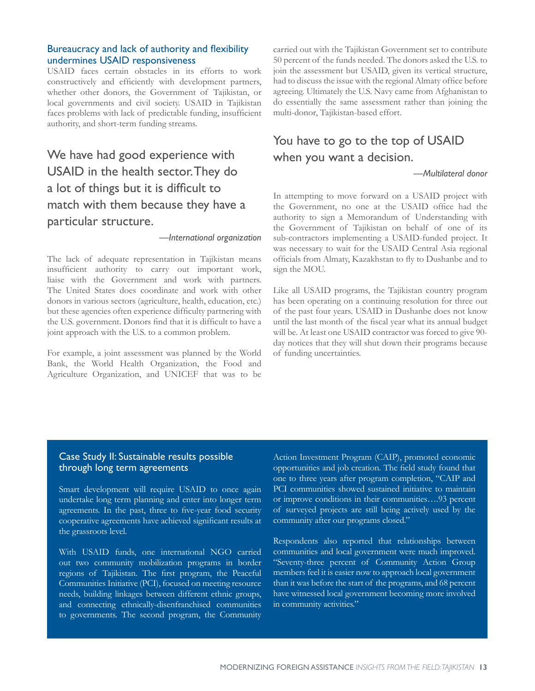#### Bureaucracy and lack of authority and flexibility undermines USAID responsiveness

USAID faces certain obstacles in its efforts to work constructively and efficiently with development partners, whether other donors, the Government of Tajikistan, or local governments and civil society. USAID in Tajikistan faces problems with lack of predictable funding, insufficient authority, and short-term funding streams.

## We have had good experience with USAID in the health sector. They do a lot of things but it is difficult to match with them because they have a particular structure.

#### *—International organization*

The lack of adequate representation in Tajikistan means insufficient authority to carry out important work, liaise with the Government and work with partners. The United States does coordinate and work with other donors in various sectors (agriculture, health, education, etc.) but these agencies often experience difficulty partnering with the U.S. government. Donors find that it is difficult to have a joint approach with the U.S. to a common problem.

For example, a joint assessment was planned by the World Bank, the World Health Organization, the Food and Agriculture Organization, and UNICEF that was to be carried out with the Tajikistan Government set to contribute 50 percent of the funds needed. The donors asked the U.S. to join the assessment but USAID, given its vertical structure, had to discuss the issue with the regional Almaty office before agreeing. Ultimately the U.S. Navy came from Afghanistan to do essentially the same assessment rather than joining the multi-donor, Tajikistan-based effort.

## You have to go to the top of USAID when you want a decision.

#### *—Multilateral donor*

In attempting to move forward on a USAID project with the Government, no one at the USAID office had the authority to sign a Memorandum of Understanding with the Government of Tajikistan on behalf of one of its sub-contractors implementing a USAID-funded project. It was necessary to wait for the USAID Central Asia regional officials from Almaty, Kazakhstan to fly to Dushanbe and to sign the MOU.

Like all USAID programs, the Tajikistan country program has been operating on a continuing resolution for three out of the past four years. USAID in Dushanbe does not know until the last month of the fiscal year what its annual budget will be. At least one USAID contractor was forced to give 90 day notices that they will shut down their programs because of funding uncertainties.

#### Case Study II: Sustainable results possible through long term agreements

Smart development will require USAID to once again undertake long term planning and enter into longer term agreements. In the past, three to five-year food security cooperative agreements have achieved significant results at the grassroots level.

With USAID funds, one international NGO carried out two community mobilization programs in border regions of Tajikistan. The first program, the Peaceful Communities Initiative (PCI), focused on meeting resource needs, building linkages between different ethnic groups, and connecting ethnically-disenfranchised communities to governments. The second program, the Community Action Investment Program (CAIP), promoted economic opportunities and job creation. The field study found that one to three years after program completion, "CAIP and PCI communities showed sustained initiative to maintain or improve conditions in their communities….93 percent of surveyed projects are still being actively used by the community after our programs closed."

Respondents also reported that relationships between communities and local government were much improved. "Seventy-three percent of Community Action Group members feel it is easier now to approach local government than it was before the start of the programs, and 68 percent have witnessed local government becoming more involved in community activities."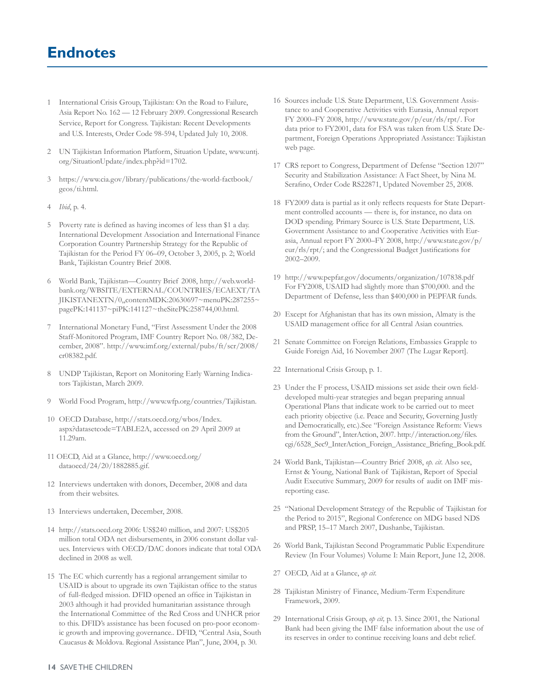# **Endnotes**

- 1 International Crisis Group, Tajikistan: On the Road to Failure, Asia Report No. 162 — 12 February 2009. Congressional Research Service, Report for Congress. Tajikistan: Recent Developments and U.S. Interests, Order Code 98-594, Updated July 10, 2008.
- 2 UN Tajikistan Information Platform, Situation Update, www.untj. org/SituationUpdate/index.php?id=1702.
- 3 https://www.cia.gov/library/publications/the-world-factbook/ geos/ti.html.
- 4 *Ibid*, p. 4.
- 5 Poverty rate is defined as having incomes of less than \$1 a day. International Development Association and International Finance Corporation Country Partnership Strategy for the Republic of Tajikistan for the Period FY 06–09, October 3, 2005, p. 2; World Bank, Tajikistan Country Brief 2008.
- 6 World Bank, Tajikistan—Country Brief 2008, http://web.worldbank.org/WBSITE/EXTERNAL/COUNTRIES/ECAEXT/TA JIKISTANEXTN/0,,contentMDK:20630697~menuPK:287255~ pagePK:141137~piPK:141127~theSitePK:258744,00.html.
- 7 International Monetary Fund, "First Assessment Under the 2008 Staff-Monitored Program, IMF Country Report No. 08/382, December, 2008". http://www.imf.org/external/pubs/ft/scr/2008/ cr08382.pdf.
- 8 UNDP Tajikistan, Report on Monitoring Early Warning Indicators Tajikistan, March 2009.
- 9 World Food Program, http://www.wfp.org/countries/Tajikistan.
- 10 OECD Database, http://stats.oecd.org/wbos/Index. aspx?datasetcode=TABLE2A, accessed on 29 April 2009 at 11.29am.
- 11 OECD, Aid at a Glance, http://www.oecd.org/ dataoecd/24/20/1882885.gif.
- 12 Interviews undertaken with donors, December, 2008 and data from their websites.
- 13 Interviews undertaken, December, 2008.
- 14 http://stats.oecd.org 2006: US\$240 million, and 2007: US\$205 million total ODA net disbursements, in 2006 constant dollar values. Interviews with OECD/DAC donors indicate that total ODA declined in 2008 as well.
- 15 The EC which currently has a regional arrangement similar to USAID is about to upgrade its own Tajikistan office to the status of full-fledged mission. DFID opened an office in Tajikistan in 2003 although it had provided humanitarian assistance through the International Committee of the Red Cross and UNHCR prior to this. DFID's assistance has been focused on pro-poor economic growth and improving governance.. DFID, "Central Asia, South Caucasus & Moldova. Regional Assistance Plan", June, 2004, p. 30.
- 16 Sources include U.S. State Department, U.S. Government Assistance to and Cooperative Activities with Eurasia, Annual report FY 2000–FY 2008, http://www.state.gov/p/eur/rls/rpt/. For data prior to FY2001, data for FSA was taken from U.S. State Department, Foreign Operations Appropriated Assistance: Tajikistan web page.
- 17 CRS report to Congress, Department of Defense "Section 1207" Security and Stabilization Assistance: A Fact Sheet, by Nina M. Serafino, Order Code RS22871, Updated November 25, 2008.
- 18 FY2009 data is partial as it only reflects requests for State Department controlled accounts — there is, for instance, no data on DOD spending. Primary Source is U.S. State Department, U.S. Government Assistance to and Cooperative Activities with Eurasia, Annual report FY 2000–FY 2008, http://www.state.gov/p/ eur/rls/rpt/; and the Congressional Budget Justifications for 2002–2009.
- 19 http://www.pepfar.gov/documents/organization/107838.pdf For FY2008, USAID had slightly more than \$700,000. and the Department of Defense, less than \$400,000 in PEPFAR funds.
- 20 Except for Afghanistan that has its own mission, Almaty is the USAID management office for all Central Asian countries.
- 21 Senate Committee on Foreign Relations, Embassies Grapple to Guide Foreign Aid, 16 November 2007 (The Lugar Report].
- 22 International Crisis Group, p. 1.
- 23 Under the F process, USAID missions set aside their own fielddeveloped multi-year strategies and began preparing annual Operational Plans that indicate work to be carried out to meet each priority objective (i.e. Peace and Security, Governing Justly and Democratically, etc.).See "Foreign Assistance Reform: Views from the Ground", InterAction, 2007. http://interaction.org/files. cgi/6528\_Sec9\_InterAction\_Foreign\_Assistance\_Briefing\_Book.pdf.
- 24 World Bank, Tajikistan—Country Brief 2008, *op. cit*. Also see, Ernst & Young, National Bank of Tajikistan, Report of Special Audit Executive Summary, 2009 for results of audit on IMF misreporting case.
- 25 "National Development Strategy of the Republic of Tajikistan for the Period to 2015", Regional Conference on MDG based NDS and PRSP, 15–17 March 2007, Dushanbe, Tajikistan.
- 26 World Bank, Tajikistan Second Programmatic Public Expenditure Review (In Four Volumes) Volume I: Main Report, June 12, 2008.
- 27 OECD, Aid at a Glance, *op cit.*
- 28 Tajikistan Ministry of Finance, Medium-Term Expenditure Framework, 2009.
- 29 International Crisis Group, *op cit,* p. 13. Since 2001, the National Bank had been giving the IMF false information about the use of its reserves in order to continue receiving loans and debt relief.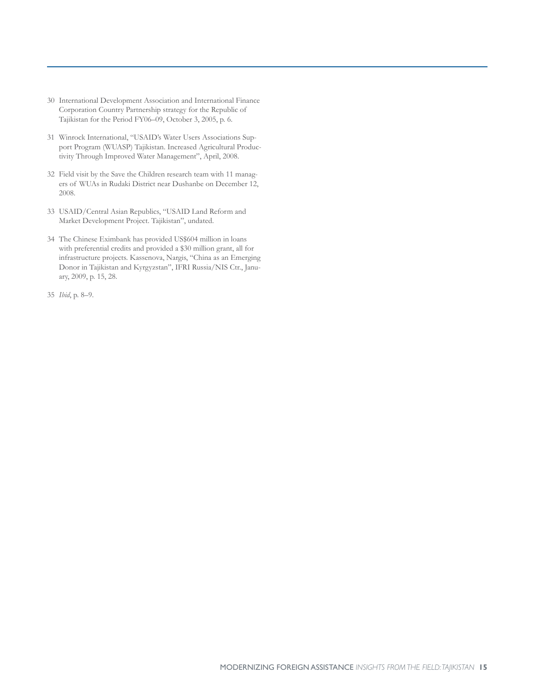- 30 International Development Association and International Finance Corporation Country Partnership strategy for the Republic of Tajikistan for the Period FY06–09, October 3, 2005, p. 6.
- 31 Winrock International, "USAID's Water Users Associations Support Program (WUASP) Tajikistan. Increased Agricultural Productivity Through Improved Water Management", April, 2008.
- 32 Field visit by the Save the Children research team with 11 managers of WUAs in Rudaki District near Dushanbe on December 12, 2008.
- 33 USAID/Central Asian Republics, "USAID Land Reform and Market Development Project. Tajikistan", undated.
- 34 The Chinese Eximbank has provided US\$604 million in loans with preferential credits and provided a \$30 million grant, all for infrastructure projects. Kassenova, Nargis, "China as an Emerging Donor in Tajikistan and Kyrgyzstan", IFRI Russia/NIS Ctr., January, 2009, p. 15, 28.
- 35 *Ibid*, p. 8–9.